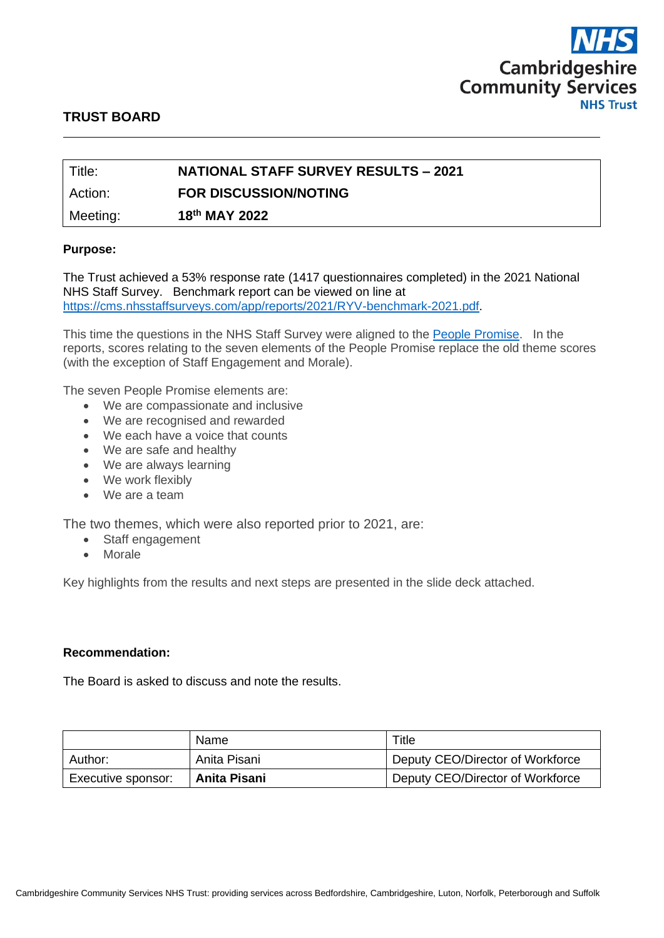

# **TRUST BOARD**

| Title:   | <b>NATIONAL STAFF SURVEY RESULTS - 2021</b> |
|----------|---------------------------------------------|
| Action:  | <b>FOR DISCUSSION/NOTING</b>                |
| Meeting: | 18th MAY 2022                               |

#### **Purpose:**

The Trust achieved a 53% response rate (1417 questionnaires completed) in the 2021 National NHS Staff Survey. Benchmark report can be viewed on line at [https://cms.nhsstaffsurveys.com/app/reports/2021/RYV-benchmark-2021.pdf.](https://cms.nhsstaffsurveys.com/app/reports/2021/RYV-benchmark-2021.pdf)

This time the questions in the NHS Staff Survey were aligned to the [People Promise.](https://www.england.nhs.uk/ournhspeople/online-version/lfaop/our-nhs-people-promise/) In the reports, scores relating to the seven elements of the People Promise replace the old theme scores (with the exception of Staff Engagement and Morale).

The seven People Promise elements are:

- We are compassionate and inclusive
- We are recognised and rewarded
- We each have a voice that counts
- We are safe and healthy
- We are always learning
- We work flexibly
- We are a team

The two themes, which were also reported prior to 2021, are:

- Staff engagement
- Morale

Key highlights from the results and next steps are presented in the slide deck attached.

#### **Recommendation:**

The Board is asked to discuss and note the results.

|                                    | Name         | Title                            |  |  |  |
|------------------------------------|--------------|----------------------------------|--|--|--|
| Author:                            | Anita Pisani | Deputy CEO/Director of Workforce |  |  |  |
| Anita Pisani<br>Executive sponsor: |              | Deputy CEO/Director of Workforce |  |  |  |